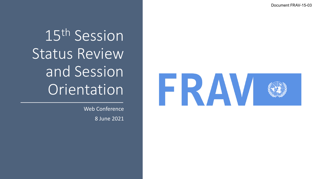Document FRAV -15 -03

15th Session Status Review and Session Orientation

> Web Conference 8 June 2021

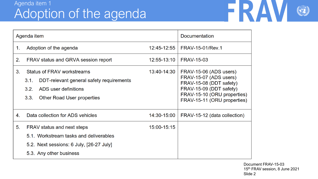## Agenda item 1 Adoption of the agenda



| Agenda item    |                                                                                                                                                                    |             | <b>Documentation</b>                                                                                                                                                 |
|----------------|--------------------------------------------------------------------------------------------------------------------------------------------------------------------|-------------|----------------------------------------------------------------------------------------------------------------------------------------------------------------------|
| 1.             | Adoption of the agenda                                                                                                                                             | 12:45-12:55 | <b>FRAV-15-01/Rev.1</b>                                                                                                                                              |
| 2.             | FRAV status and GRVA session report                                                                                                                                | 12:55-13:10 | <b>FRAV-15-03</b>                                                                                                                                                    |
| 3.             | <b>Status of FRAV workstreams</b><br>DDT-relevant general safety requirements<br>3.1.<br>3.2.<br>ADS user definitions<br>3.3.<br><b>Other Road User properties</b> | 13:40-14:30 | FRAV-15-06 (ADS users)<br>FRAV-15-07 (ADS users)<br>FRAV-15-08 (DDT safety)<br>FRAV-15-09 (DDT safety)<br>FRAV-15-10 (ORU properties)<br>FRAV-15-11 (ORU properties) |
| 4.             | Data collection for ADS vehicles                                                                                                                                   | 14:30-15:00 | FRAV-15-12 (data collection)                                                                                                                                         |
| 5 <sub>1</sub> | FRAV status and next steps<br>5.1. Workstream tasks and deliverables<br>5.2. Next sessions: 6 July, [26-27 July]<br>5.3. Any other business                        | 15:00-15:15 |                                                                                                                                                                      |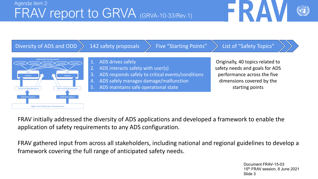



FRAV initially addressed the diversity of ADS applications and developed a framework to enable the application of safety requirements to any ADS configuration.

FRAV gathered input from across all stakeholders, including national and regional guidelines to develop a framework covering the full range of anticipated safety needs.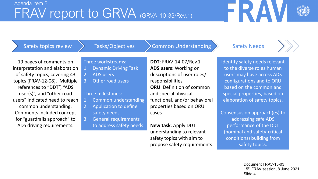

Safety topics review

### Tasks/Objectives

### $Common$  Understanding  $\left\}$  Safety Needs

19 pages of comments on interpretation and elaboration of safety topics, covering 43 topics (FRAV-12-08). Multiple references to "DDT", "ADS user(s)", and "other road users" indicated need to reach common understanding. Comments included concept for "guardrails approach" to ADS driving requirements.

### Three workstreams:

- 1. Dynamic Driving Task
- 2. ADS users
- 3. Other road users

### Three milestones:

- 1. Common understanding
- 2. Application to define safety needs
- 3. General requirements to address safety needs

**DDT**: FRAV-14-07/Rev.1 **ADS users**: Working on descriptions of user roles/ responsibilities **ORU**: Definition of common and special physical, functional, and/or behavioral properties based on ORU cases

**New task**: Apply DDT understanding to relevant safety topics with aim to propose safety requirements Identify safety needs relevant to the diverse roles human users may have across ADS configurations and to ORU based on the common and special properties, based on elaboration of safety topics.

Consensus on approach(es) to addressing safe ADS performance of the DDT (nominal and safety-critical conditions) building from safety topics.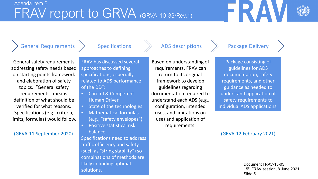General Requirements

**Specifications** 

ADS descriptions  $\longrightarrow$  Package Delivery

General safety requirements addressing safety needs based on starting points framework and elaboration of safety topics. "General safety requirements" means definition of what should be verified for what reasons. Specifications (e.g., criteria, limits, formulas) would follow.

(GRVA-11 September 2020) (GRVA-12 February 2021)

FRAV has discussed several approaches to defining specifications, especially related to ADS performance of the DDT:

- Careful & Competent Human Driver
- State of the technologies
	- Mathematical formulas (e.g., "safety envelopes")
- Positive statistical risk balance

Specifications need to address traffic efficiency and safety (such as "string stability") so combinations of methods are likely in finding optimal solutions.

Based on understanding of requirements, FRAV can return to its original framework to develop guidelines regarding documentation required to understand each ADS (e.g., configuration, intended uses, and limitations on use) and application of requirements.

Package consisting of guidelines for ADS documentation, safety requirements, and other guidance as needed to understand application of safety requirements to individual ADS applications.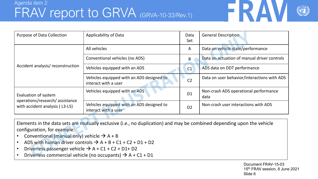## Agenda item 2 FRAV report to GRVA (GRVA-10-33/Rev.1)



| <b>Purpose of Data Collection</b>                                | Applicability of Data                                             | Data<br>Set    | <b>General Description</b>                    |
|------------------------------------------------------------------|-------------------------------------------------------------------|----------------|-----------------------------------------------|
|                                                                  | All vehicles                                                      | A              | Data on vehicle state/performance             |
|                                                                  | Conventional vehicles (no ADS)                                    | B              | Data on actuation of manual driver controls   |
| Accident analysis/reconstruction                                 | Vehicles equipped with an ADS                                     | C1             | ADS data on DDT performance                   |
|                                                                  | Vehicles equipped with an ADS designed to<br>interact with a user | C <sub>2</sub> | Data on user behavior/interactions with ADS   |
| Evaluation of system                                             | Vehicles equipped with an ADS                                     | D <sub>1</sub> | Non-crash ADS operational performance<br>data |
| operations/research/assistance<br>with accident analysis (L3-L5) | Vehicles equipped with an ADS designed to<br>interact with a user | D <sub>2</sub> | Non-crash user interactions with ADS          |

Elements in the data sets are mutually exclusive (i.e., no duplication) and may be combined depending upon the vehicle configuration, for example:

- Conventional (manual only) vehicle  $\rightarrow$  A + B
- ADS with human driver controls  $\rightarrow$  A + B + C1 + C2 + D1 + D2
- Driverless passenger vehicle  $\rightarrow$  A + C1 + C2 + D1+ D2
- Driverless commercial vehicle (no occupants)  $\rightarrow$  A + C1 + D1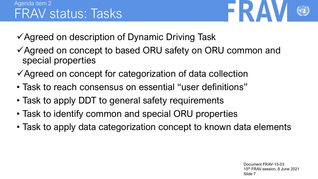

- ✓Agreed on description of Dynamic Driving Task
- ✓Agreed on concept to based ORU safety on ORU common and special properties
- ✓Agreed on concept for categorization of data collection
- Task to reach consensus on essential "user definitions"
- Task to apply DDT to general safety requirements
- Task to identify common and special ORU properties
- Task to apply data categorization concept to known data elements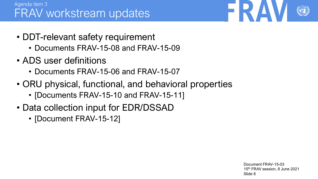## Agenda item 3 FRAV workstream updates

- DDT-relevant safety requirement
	- Documents FRAV-15-08 and FRAV-15-09
- ADS user definitions
	- Documents FRAV-15-06 and FRAV-15-07
- ORU physical, functional, and behavioral properties
	- [Documents FRAV-15-10 and FRAV-15-11]
- Data collection input for EDR/DSSAD
	- [Document FRAV-15-12]